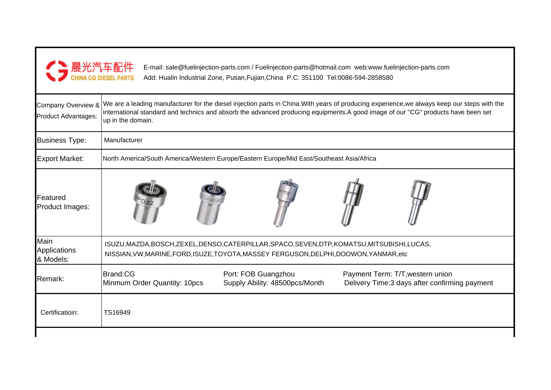| ● 晨光汽车配件<br>● CHINA CG DIESEL PARTS       | E-mail: sale@fuelinjection-parts.com / Fuelinjection-parts@hotmail.com web:www.fuelinjection-parts.com<br>Add: Hualin Industrial Zone, Putian, Fujian, China P.C: 351100 Tel:0086-594-2858580                                                                                                         |  |  |  |  |  |  |  |  |
|-------------------------------------------|-------------------------------------------------------------------------------------------------------------------------------------------------------------------------------------------------------------------------------------------------------------------------------------------------------|--|--|--|--|--|--|--|--|
| Company Overview &<br>Product Advantages: | We are a leading manufacturer for the diesel injection parts in China. With years of producing experience, we always keep our steps with the<br>international standard and technics and absorb the advanced producing equipments.A good image of our "CG" products have been set<br>up in the domain. |  |  |  |  |  |  |  |  |
| <b>Business Type:</b>                     | Manufacturer                                                                                                                                                                                                                                                                                          |  |  |  |  |  |  |  |  |
| <b>Export Market:</b>                     | North America/South America/Western Europe/Eastern Europe/Mid East/Southeast Asia/Africa                                                                                                                                                                                                              |  |  |  |  |  |  |  |  |
| Featured<br>Product Images:               |                                                                                                                                                                                                                                                                                                       |  |  |  |  |  |  |  |  |
| Main<br>Applications<br>& Models:         | ISUZU, MAZDA, BOSCH, ZEXEL, DENSO, CATERPILLAR, SPACO, SEVEN, DTP, KOMATSU, MITSUBISHI, LUCAS,<br>NISSIAN, VW, MARINE, FORD, ISUZE, TOYOTA, MASSEY FERGUSON, DELPHI, DOOWON, YANMAR, etc                                                                                                              |  |  |  |  |  |  |  |  |
| Remark:                                   | Brand:CG<br>Port: FOB Guangzhou<br>Payment Term: T/T, western union<br>Minmum Order Quantity: 10pcs<br>Supply Ability: 48500pcs/Month<br>Delivery Time: 3 days after confirming payment                                                                                                               |  |  |  |  |  |  |  |  |
| Certificatioin:                           | TS16949                                                                                                                                                                                                                                                                                               |  |  |  |  |  |  |  |  |
|                                           |                                                                                                                                                                                                                                                                                                       |  |  |  |  |  |  |  |  |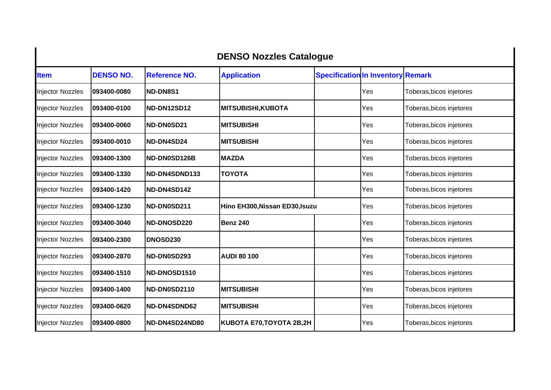| <b>DENSO Nozzles Catalogue</b> |                  |                      |                                |                                          |     |                          |  |
|--------------------------------|------------------|----------------------|--------------------------------|------------------------------------------|-----|--------------------------|--|
| <b>Item</b>                    | <b>DENSO NO.</b> | <b>Reference NO.</b> | <b>Application</b>             | <b>Specification In Inventory Remark</b> |     |                          |  |
| <b>Injector Nozzles</b>        | 093400-0080      | <b>IND-DN8S1</b>     |                                |                                          | Yes | Toberas, bicos injetores |  |
| <b>Injector Nozzles</b>        | 093400-0100      | <b>ND-DN12SD12</b>   | <b>MITSUBISHI,KUBOTA</b>       |                                          | Yes | Toberas, bicos injetores |  |
| <b>Injector Nozzles</b>        | 093400-0060      | <b>ND-DN0SD21</b>    | <b>MITSUBISHI</b>              |                                          | Yes | Toberas, bicos injetores |  |
| <b>Injector Nozzles</b>        | 093400-0010      | ND-DN4SD24           | <b>IMITSUBISHI</b>             |                                          | Yes | Toberas, bicos injetores |  |
| <b>Injector Nozzles</b>        | 093400-1300      | <b>ND-DN0SD126B</b>  | <b>MAZDA</b>                   |                                          | Yes | Toberas, bicos injetores |  |
| <b>Injector Nozzles</b>        | 093400-1330      | ND-DN4SDND133        | <b>TOYOTA</b>                  |                                          | Yes | Toberas, bicos injetores |  |
| <b>Injector Nozzles</b>        | 093400-1420      | ND-DN4SD142          |                                |                                          | Yes | Toberas, bicos injetores |  |
| <b>Injector Nozzles</b>        | 093400-1230      | ND-DN0SD211          | Hino EH300, Nissan ED30, Isuzu |                                          | Yes | Toberas, bicos injetores |  |
| <b>Injector Nozzles</b>        | 093400-3040      | ND-DNOSD220          | Benz 240                       |                                          | Yes | Toberas, bicos injetores |  |
| <b>Injector Nozzles</b>        | 093400-2300      | <b>DNOSD230</b>      |                                |                                          | Yes | Toberas, bicos injetores |  |
| <b>Injector Nozzles</b>        | 093400-2870      | ND-DN0SD293          | <b>AUDI 80 100</b>             |                                          | Yes | Toberas, bicos injetores |  |
| <b>Injector Nozzles</b>        | 093400-1510      | ND-DNOSD1510         |                                |                                          | Yes | Toberas, bicos injetores |  |
| <b>Injector Nozzles</b>        | 093400-1400      | <b>ND-DN0SD2110</b>  | <b>MITSUBISHI</b>              |                                          | Yes | Toberas, bicos injetores |  |
| <b>Injector Nozzles</b>        | 093400-0620      | ND-DN4SDND62         | <b>MITSUBISHI</b>              |                                          | Yes | Toberas, bicos injetores |  |
| <b>Injector Nozzles</b>        | 093400-0800      | ND-DN4SD24ND80       | KUBOTA E70, TOYOTA 2B, 2H      |                                          | Yes | Toberas, bicos injetores |  |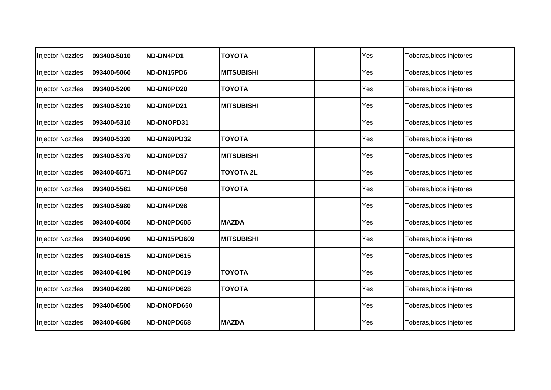| <b>Injector Nozzles</b> | 093400-5010 | ND-DN4PD1    | <b>TOYOTA</b>     | Yes | Toberas, bicos injetores |
|-------------------------|-------------|--------------|-------------------|-----|--------------------------|
| <b>Injector Nozzles</b> | 093400-5060 | ND-DN15PD6   | <b>MITSUBISHI</b> | Yes | Toberas, bicos injetores |
| <b>Injector Nozzles</b> | 093400-5200 | ND-DN0PD20   | <b>TOYOTA</b>     | Yes | Toberas, bicos injetores |
| <b>Injector Nozzles</b> | 093400-5210 | ND-DN0PD21   | <b>MITSUBISHI</b> | Yes | Toberas, bicos injetores |
| <b>Injector Nozzles</b> | 093400-5310 | ND-DNOPD31   |                   | Yes | Toberas, bicos injetores |
| <b>Injector Nozzles</b> | 093400-5320 | ND-DN20PD32  | <b>TOYOTA</b>     | Yes | Toberas, bicos injetores |
| <b>Injector Nozzles</b> | 093400-5370 | ND-DN0PD37   | <b>MITSUBISHI</b> | Yes | Toberas, bicos injetores |
| <b>Injector Nozzles</b> | 093400-5571 | ND-DN4PD57   | <b>TOYOTA 2L</b>  | Yes | Toberas, bicos injetores |
| <b>Injector Nozzles</b> | 093400-5581 | ND-DN0PD58   | <b>TOYOTA</b>     | Yes | Toberas, bicos injetores |
| <b>Injector Nozzles</b> | 093400-5980 | ND-DN4PD98   |                   | Yes | Toberas, bicos injetores |
| <b>Injector Nozzles</b> | 093400-6050 | ND-DN0PD605  | <b>MAZDA</b>      | Yes | Toberas, bicos injetores |
| <b>Injector Nozzles</b> | 093400-6090 | ND-DN15PD609 | <b>MITSUBISHI</b> | Yes | Toberas, bicos injetores |
| <b>Injector Nozzles</b> | 093400-0615 | ND-DN0PD615  |                   | Yes | Toberas, bicos injetores |
| <b>Injector Nozzles</b> | 093400-6190 | ND-DN0PD619  | <b>TOYOTA</b>     | Yes | Toberas, bicos injetores |
| <b>Injector Nozzles</b> | 093400-6280 | ND-DN0PD628  | <b>TOYOTA</b>     | Yes | Toberas, bicos injetores |
| <b>Injector Nozzles</b> | 093400-6500 | ND-DNOPD650  |                   | Yes | Toberas, bicos injetores |
| <b>Injector Nozzles</b> | 093400-6680 | ND-DN0PD668  | <b>MAZDA</b>      | Yes | Toberas, bicos injetores |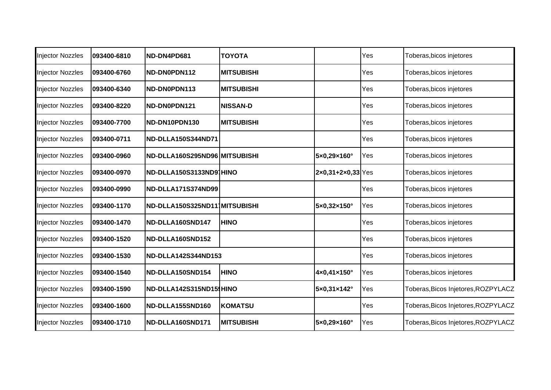| <b>Injector Nozzles</b> | 093400-6810 | ND-DN4PD681                   | <b>TOYOTA</b>     |                                       | Yes | Toberas, bicos injetores            |
|-------------------------|-------------|-------------------------------|-------------------|---------------------------------------|-----|-------------------------------------|
| Injector Nozzles        | 093400-6760 | ND-DN0PDN112                  | <b>MITSUBISHI</b> |                                       | Yes | Toberas, bicos injetores            |
| Injector Nozzles        | 093400-6340 | ND-DN0PDN113                  | <b>MITSUBISHI</b> |                                       | Yes | Toberas, bicos injetores            |
| <b>Injector Nozzles</b> | 093400-8220 | ND-DN0PDN121                  | <b>NISSAN-D</b>   |                                       | Yes | Toberas, bicos injetores            |
| <b>Injector Nozzles</b> | 093400-7700 | ND-DN10PDN130                 | <b>MITSUBISHI</b> |                                       | Yes | Toberas, bicos injetores            |
| <b>Injector Nozzles</b> | 093400-0711 | ND-DLLA150S344ND71            |                   |                                       | Yes | Toberas, bicos injetores            |
| <b>Injector Nozzles</b> | 093400-0960 | ND-DLLA160S295ND96 MITSUBISHI |                   | 5×0,29×160°                           | Yes | Toberas, bicos injetores            |
| <b>Injector Nozzles</b> | 093400-0970 | ND-DLLA150S3133ND91HINO       |                   | $2 \times 0, 31 + 2 \times 0, 33$ Yes |     | Toberas, bicos injetores            |
| <b>Injector Nozzles</b> | 093400-0990 | ND-DLLA171S374ND99            |                   |                                       | Yes | Toberas, bicos injetores            |
| <b>Injector Nozzles</b> | 093400-1170 | ND-DLLA150S325ND111MITSUBISHI |                   | 5×0,32×150°                           | Yes | Toberas, bicos injetores            |
| <b>Injector Nozzles</b> | 093400-1470 | ND-DLLA160SND147              | <b>HINO</b>       |                                       | Yes | Toberas, bicos injetores            |
| Injector Nozzles        | 093400-1520 | ND-DLLA160SND152              |                   |                                       | Yes | Toberas, bicos injetores            |
| <b>Injector Nozzles</b> | 093400-1530 | ND-DLLA142S344ND153           |                   |                                       | Yes | Toberas, bicos injetores            |
| <b>Injector Nozzles</b> | 093400-1540 | ND-DLLA150SND154              | <b>HINO</b>       | 4×0,41×150°                           | Yes | Toberas, bicos injetores            |
| <b>Injector Nozzles</b> | 093400-1590 | ND-DLLA142S315ND151HINO       |                   | 5×0,31×142°                           | Yes | Toberas, Bicos Injetores, ROZPYLACZ |
| Injector Nozzles        | 093400-1600 | ND-DLLA155SND160              | <b>KOMATSU</b>    |                                       | Yes | Toberas, Bicos Injetores, ROZPYLACZ |
| <b>Injector Nozzles</b> | 093400-1710 | ND-DLLA160SND171              | <b>MITSUBISHI</b> | 5×0,29×160°                           | Yes | Toberas, Bicos Injetores, ROZPYLACZ |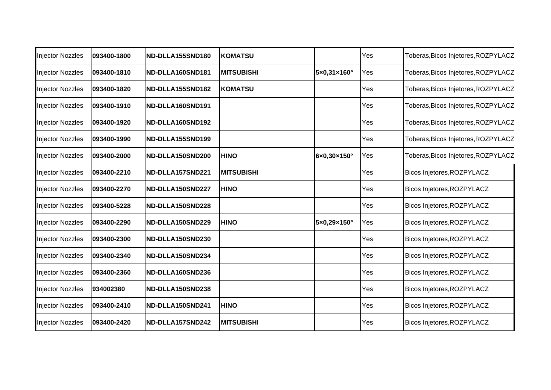| Injector Nozzles        | 093400-1800 | ND-DLLA155SND180 | <b>KOMATSU</b>    |             | Yes | Toberas, Bicos Injetores, ROZPYLACZ |
|-------------------------|-------------|------------------|-------------------|-------------|-----|-------------------------------------|
| <b>Injector Nozzles</b> | 093400-1810 | ND-DLLA160SND181 | <b>MITSUBISHI</b> | 5×0,31×160° | Yes | Toberas, Bicos Injetores, ROZPYLACZ |
| <b>Injector Nozzles</b> | 093400-1820 | ND-DLLA155SND182 | <b>KOMATSU</b>    |             | Yes | Toberas, Bicos Injetores, ROZPYLACZ |
| <b>Injector Nozzles</b> | 093400-1910 | ND-DLLA160SND191 |                   |             | Yes | Toberas, Bicos Injetores, ROZPYLACZ |
| <b>Injector Nozzles</b> | 093400-1920 | ND-DLLA160SND192 |                   |             | Yes | Toberas, Bicos Injetores, ROZPYLACZ |
| <b>Injector Nozzles</b> | 093400-1990 | ND-DLLA155SND199 |                   |             | Yes | Toberas, Bicos Injetores, ROZPYLACZ |
| <b>Injector Nozzles</b> | 093400-2000 | ND-DLLA150SND200 | <b>HINO</b>       | 6×0,30×150° | Yes | Toberas, Bicos Injetores, ROZPYLACZ |
| <b>Injector Nozzles</b> | 093400-2210 | ND-DLLA157SND221 | <b>MITSUBISHI</b> |             | Yes | Bicos Injetores, ROZPYLACZ          |
| <b>Injector Nozzles</b> | 093400-2270 | ND-DLLA150SND227 | <b>HINO</b>       |             | Yes | Bicos Injetores, ROZPYLACZ          |
| <b>Injector Nozzles</b> | 093400-5228 | ND-DLLA150SND228 |                   |             | Yes | Bicos Injetores, ROZPYLACZ          |
| <b>Injector Nozzles</b> | 093400-2290 | ND-DLLA150SND229 | <b>HINO</b>       | 5×0,29×150° | Yes | Bicos Injetores, ROZPYLACZ          |
| <b>Injector Nozzles</b> | 093400-2300 | ND-DLLA150SND230 |                   |             | Yes | Bicos Injetores, ROZPYLACZ          |
| <b>Injector Nozzles</b> | 093400-2340 | ND-DLLA150SND234 |                   |             | Yes | Bicos Injetores, ROZPYLACZ          |
| <b>Injector Nozzles</b> | 093400-2360 | ND-DLLA160SND236 |                   |             | Yes | Bicos Injetores, ROZPYLACZ          |
| <b>Injector Nozzles</b> | 934002380   | ND-DLLA150SND238 |                   |             | Yes | Bicos Injetores, ROZPYLACZ          |
| Injector Nozzles        | 093400-2410 | ND-DLLA150SND241 | <b>HINO</b>       |             | Yes | Bicos Injetores, ROZPYLACZ          |
| <b>Injector Nozzles</b> | 093400-2420 | ND-DLLA157SND242 | <b>MITSUBISHI</b> |             | Yes | Bicos Injetores, ROZPYLACZ          |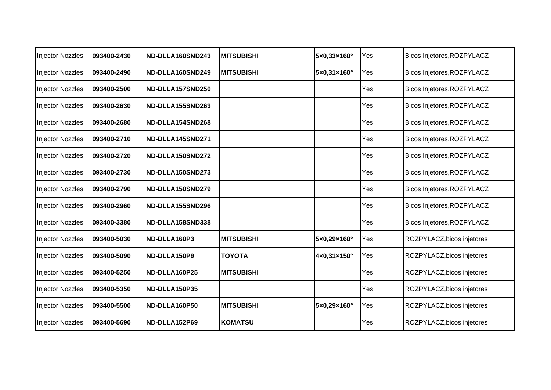| <b>Injector Nozzles</b> | 093400-2430 | ND-DLLA160SND243 | <b>MITSUBISHI</b> | $5 \times 0,33 \times 160^\circ$ | Yes | Bicos Injetores, ROZPYLACZ |
|-------------------------|-------------|------------------|-------------------|----------------------------------|-----|----------------------------|
| <b>Injector Nozzles</b> | 093400-2490 | ND-DLLA160SND249 | <b>MITSUBISHI</b> | $5 \times 0,31 \times 160$ °     | Yes | Bicos Injetores, ROZPYLACZ |
| <b>Injector Nozzles</b> | 093400-2500 | ND-DLLA157SND250 |                   |                                  | Yes | Bicos Injetores, ROZPYLACZ |
| <b>Injector Nozzles</b> | 093400-2630 | ND-DLLA155SND263 |                   |                                  | Yes | Bicos Injetores, ROZPYLACZ |
| <b>Injector Nozzles</b> | 093400-2680 | ND-DLLA154SND268 |                   |                                  | Yes | Bicos Injetores, ROZPYLACZ |
| <b>Injector Nozzles</b> | 093400-2710 | ND-DLLA145SND271 |                   |                                  | Yes | Bicos Injetores, ROZPYLACZ |
| <b>Injector Nozzles</b> | 093400-2720 | ND-DLLA150SND272 |                   |                                  | Yes | Bicos Injetores, ROZPYLACZ |
| <b>Injector Nozzles</b> | 093400-2730 | ND-DLLA150SND273 |                   |                                  | Yes | Bicos Injetores, ROZPYLACZ |
| <b>Injector Nozzles</b> | 093400-2790 | ND-DLLA150SND279 |                   |                                  | Yes | Bicos Injetores, ROZPYLACZ |
| <b>Injector Nozzles</b> | 093400-2960 | ND-DLLA155SND296 |                   |                                  | Yes | Bicos Injetores, ROZPYLACZ |
| <b>Injector Nozzles</b> | 093400-3380 | ND-DLLA158SND338 |                   |                                  | Yes | Bicos Injetores, ROZPYLACZ |
| <b>Injector Nozzles</b> | 093400-5030 | ND-DLLA160P3     | <b>MITSUBISHI</b> | 5×0,29×160°                      | Yes | ROZPYLACZ, bicos injetores |
| <b>Injector Nozzles</b> | 093400-5090 | ND-DLLA150P9     | <b>TOYOTA</b>     | $4 \times 0,31 \times 150$ °     | Yes | ROZPYLACZ, bicos injetores |
| <b>Injector Nozzles</b> | 093400-5250 | ND-DLLA160P25    | <b>MITSUBISHI</b> |                                  | Yes | ROZPYLACZ, bicos injetores |
| <b>Injector Nozzles</b> | 093400-5350 | ND-DLLA150P35    |                   |                                  | Yes | ROZPYLACZ, bicos injetores |
| Injector Nozzles        | 093400-5500 | ND-DLLA160P50    | <b>MITSUBISHI</b> | $5 \times 0,29 \times 160^\circ$ | Yes | ROZPYLACZ, bicos injetores |
| <b>Injector Nozzles</b> | 093400-5690 | ND-DLLA152P69    | KOMATSU           |                                  | Yes | ROZPYLACZ, bicos injetores |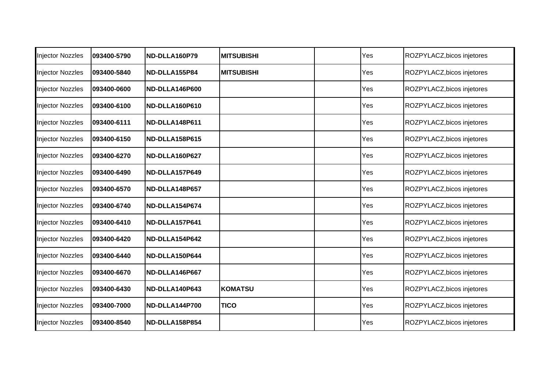| <b>Injector Nozzles</b> | 093400-5790 | ND-DLLA160P79  | <b>MITSUBISHI</b> | Yes | ROZPYLACZ, bicos injetores |
|-------------------------|-------------|----------------|-------------------|-----|----------------------------|
| <b>Injector Nozzles</b> | 093400-5840 | ND-DLLA155P84  | <b>MITSUBISHI</b> | Yes | ROZPYLACZ, bicos injetores |
| <b>Injector Nozzles</b> | 093400-0600 | ND-DLLA146P600 |                   | Yes | ROZPYLACZ, bicos injetores |
| <b>Injector Nozzles</b> | 093400-6100 | ND-DLLA160P610 |                   | Yes | ROZPYLACZ, bicos injetores |
| <b>Injector Nozzles</b> | 093400-6111 | ND-DLLA148P611 |                   | Yes | ROZPYLACZ, bicos injetores |
| <b>Injector Nozzles</b> | 093400-6150 | ND-DLLA158P615 |                   | Yes | ROZPYLACZ, bicos injetores |
| <b>Injector Nozzles</b> | 093400-6270 | ND-DLLA160P627 |                   | Yes | ROZPYLACZ, bicos injetores |
| <b>Injector Nozzles</b> | 093400-6490 | ND-DLLA157P649 |                   | Yes | ROZPYLACZ, bicos injetores |
| <b>Injector Nozzles</b> | 093400-6570 | ND-DLLA148P657 |                   | Yes | ROZPYLACZ, bicos injetores |
| <b>Injector Nozzles</b> | 093400-6740 | ND-DLLA154P674 |                   | Yes | ROZPYLACZ, bicos injetores |
| <b>Injector Nozzles</b> | 093400-6410 | ND-DLLA157P641 |                   | Yes | ROZPYLACZ, bicos injetores |
| <b>Injector Nozzles</b> | 093400-6420 | ND-DLLA154P642 |                   | Yes | ROZPYLACZ, bicos injetores |
| <b>Injector Nozzles</b> | 093400-6440 | ND-DLLA150P644 |                   | Yes | ROZPYLACZ, bicos injetores |
| <b>Injector Nozzles</b> | 093400-6670 | ND-DLLA146P667 |                   | Yes | ROZPYLACZ, bicos injetores |
| <b>Injector Nozzles</b> | 093400-6430 | ND-DLLA140P643 | <b>KOMATSU</b>    | Yes | ROZPYLACZ, bicos injetores |
| <b>Injector Nozzles</b> | 093400-7000 | ND-DLLA144P700 | <b>TICO</b>       | Yes | ROZPYLACZ, bicos injetores |
| <b>Injector Nozzles</b> | 093400-8540 | ND-DLLA158P854 |                   | Yes | ROZPYLACZ, bicos injetores |